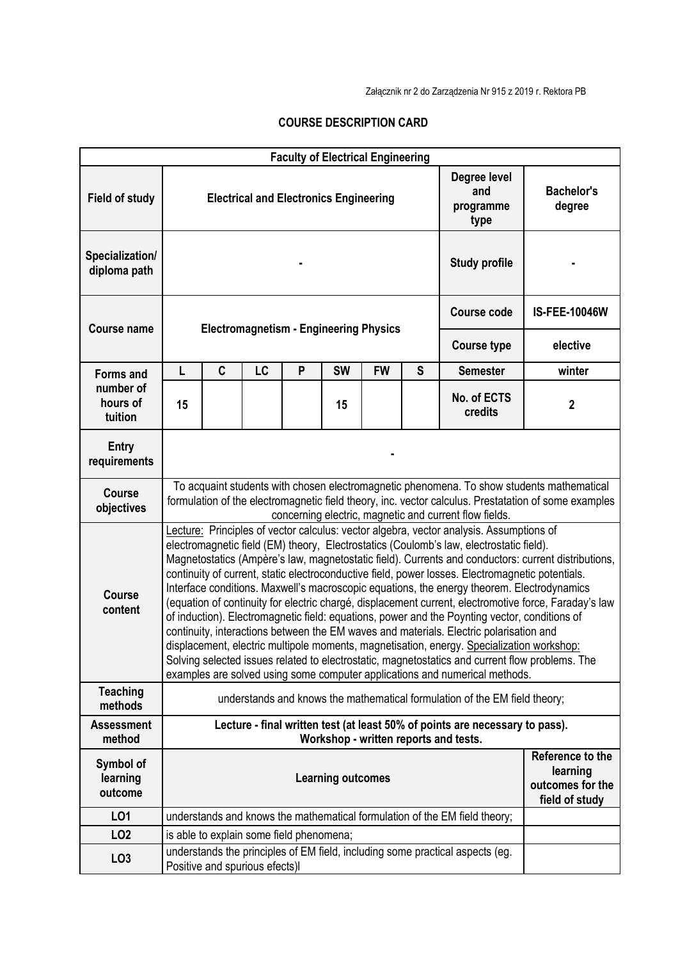## **COURSE DESCRIPTION CARD**

| <b>Faculty of Electrical Engineering</b> |                                                                                                                                                                                                                                                                                                                                                                                                                                                                                                                                                                                                                                                                                                                                                                                                                                                                                                                                                                                                                                                                                |                                |           |                                               |                    |                                                                    |                      |                                                                               |                             |
|------------------------------------------|--------------------------------------------------------------------------------------------------------------------------------------------------------------------------------------------------------------------------------------------------------------------------------------------------------------------------------------------------------------------------------------------------------------------------------------------------------------------------------------------------------------------------------------------------------------------------------------------------------------------------------------------------------------------------------------------------------------------------------------------------------------------------------------------------------------------------------------------------------------------------------------------------------------------------------------------------------------------------------------------------------------------------------------------------------------------------------|--------------------------------|-----------|-----------------------------------------------|--------------------|--------------------------------------------------------------------|----------------------|-------------------------------------------------------------------------------|-----------------------------|
| Field of study                           |                                                                                                                                                                                                                                                                                                                                                                                                                                                                                                                                                                                                                                                                                                                                                                                                                                                                                                                                                                                                                                                                                |                                |           | <b>Electrical and Electronics Engineering</b> |                    |                                                                    |                      | Degree level<br>and<br>programme<br>type                                      | <b>Bachelor's</b><br>degree |
| Specialization/<br>diploma path          |                                                                                                                                                                                                                                                                                                                                                                                                                                                                                                                                                                                                                                                                                                                                                                                                                                                                                                                                                                                                                                                                                |                                |           |                                               |                    |                                                                    |                      | <b>Study profile</b>                                                          |                             |
| <b>Course name</b>                       |                                                                                                                                                                                                                                                                                                                                                                                                                                                                                                                                                                                                                                                                                                                                                                                                                                                                                                                                                                                                                                                                                |                                |           |                                               | <b>Course code</b> |                                                                    | <b>IS-FEE-10046W</b> |                                                                               |                             |
|                                          | <b>Electromagnetism - Engineering Physics</b>                                                                                                                                                                                                                                                                                                                                                                                                                                                                                                                                                                                                                                                                                                                                                                                                                                                                                                                                                                                                                                  |                                |           |                                               |                    |                                                                    |                      | <b>Course type</b>                                                            | elective                    |
| <b>Forms and</b>                         | L                                                                                                                                                                                                                                                                                                                                                                                                                                                                                                                                                                                                                                                                                                                                                                                                                                                                                                                                                                                                                                                                              | $\mathbf c$                    | <b>LC</b> | P                                             | <b>SW</b>          | <b>FW</b>                                                          | S                    | <b>Semester</b>                                                               | winter                      |
| number of<br>hours of<br>tuition         | 15                                                                                                                                                                                                                                                                                                                                                                                                                                                                                                                                                                                                                                                                                                                                                                                                                                                                                                                                                                                                                                                                             |                                |           |                                               | 15                 |                                                                    |                      | No. of ECTS<br>credits                                                        | 2                           |
| <b>Entry</b><br>requirements             |                                                                                                                                                                                                                                                                                                                                                                                                                                                                                                                                                                                                                                                                                                                                                                                                                                                                                                                                                                                                                                                                                |                                |           |                                               |                    |                                                                    |                      |                                                                               |                             |
| <b>Course</b><br>objectives              | To acquaint students with chosen electromagnetic phenomena. To show students mathematical<br>formulation of the electromagnetic field theory, inc. vector calculus. Prestatation of some examples<br>concerning electric, magnetic and current flow fields.                                                                                                                                                                                                                                                                                                                                                                                                                                                                                                                                                                                                                                                                                                                                                                                                                    |                                |           |                                               |                    |                                                                    |                      |                                                                               |                             |
| <b>Course</b><br>content                 | Lecture: Principles of vector calculus: vector algebra, vector analysis. Assumptions of<br>electromagnetic field (EM) theory, Electrostatics (Coulomb's law, electrostatic field).<br>Magnetostatics (Ampère's law, magnetostatic field). Currents and conductors: current distributions,<br>continuity of current, static electroconductive field, power losses. Electromagnetic potentials.<br>Interface conditions. Maxwell's macroscopic equations, the energy theorem. Electrodynamics<br>(equation of continuity for electric chargé, displacement current, electromotive force, Faraday's law<br>of induction). Electromagnetic field: equations, power and the Poynting vector, conditions of<br>continuity, interactions between the EM waves and materials. Electric polarisation and<br>displacement, electric multipole moments, magnetisation, energy. Specialization workshop:<br>Solving selected issues related to electrostatic, magnetostatics and current flow problems. The<br>examples are solved using some computer applications and numerical methods. |                                |           |                                               |                    |                                                                    |                      |                                                                               |                             |
| <b>Teaching</b><br>methods               | understands and knows the mathematical formulation of the EM field theory;                                                                                                                                                                                                                                                                                                                                                                                                                                                                                                                                                                                                                                                                                                                                                                                                                                                                                                                                                                                                     |                                |           |                                               |                    |                                                                    |                      |                                                                               |                             |
| <b>Assessment</b><br>method              | Lecture - final written test (at least 50% of points are necessary to pass).<br>Workshop - written reports and tests.                                                                                                                                                                                                                                                                                                                                                                                                                                                                                                                                                                                                                                                                                                                                                                                                                                                                                                                                                          |                                |           |                                               |                    |                                                                    |                      |                                                                               |                             |
| Symbol of<br>learning<br>outcome         | <b>Learning outcomes</b>                                                                                                                                                                                                                                                                                                                                                                                                                                                                                                                                                                                                                                                                                                                                                                                                                                                                                                                                                                                                                                                       |                                |           |                                               |                    | Reference to the<br>learning<br>outcomes for the<br>field of study |                      |                                                                               |                             |
| LO1                                      | understands and knows the mathematical formulation of the EM field theory;                                                                                                                                                                                                                                                                                                                                                                                                                                                                                                                                                                                                                                                                                                                                                                                                                                                                                                                                                                                                     |                                |           |                                               |                    |                                                                    |                      |                                                                               |                             |
| LO <sub>2</sub>                          | is able to explain some field phenomena;                                                                                                                                                                                                                                                                                                                                                                                                                                                                                                                                                                                                                                                                                                                                                                                                                                                                                                                                                                                                                                       |                                |           |                                               |                    |                                                                    |                      |                                                                               |                             |
| LO <sub>3</sub>                          |                                                                                                                                                                                                                                                                                                                                                                                                                                                                                                                                                                                                                                                                                                                                                                                                                                                                                                                                                                                                                                                                                | Positive and spurious efects)I |           |                                               |                    |                                                                    |                      | understands the principles of EM field, including some practical aspects (eg. |                             |